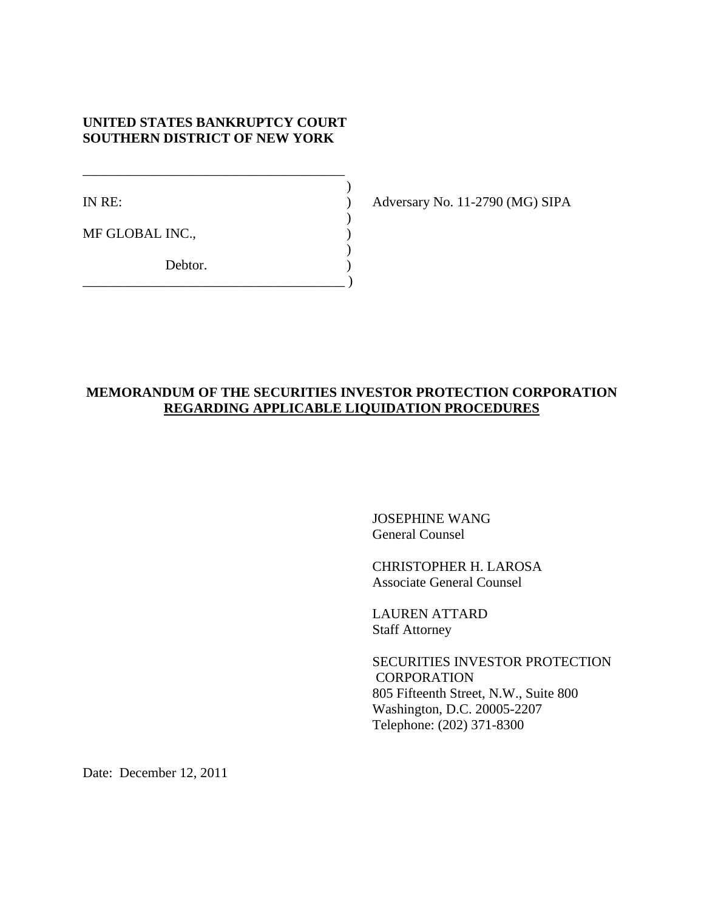# **UNITED STATES BANKRUPTCY COURT SOUTHERN DISTRICT OF NEW YORK**

\_\_\_\_\_\_\_\_\_\_\_\_\_\_\_\_\_\_\_\_\_\_\_\_\_\_\_\_\_\_\_\_\_\_\_\_\_\_  $)$ 

 $)$ 

 $)$ 

\_\_\_\_\_\_\_\_\_\_\_\_\_\_\_\_\_\_\_\_\_\_\_\_\_\_\_\_\_\_\_\_\_\_\_\_\_\_ )

MF GLOBAL INC.,

Debtor.

IN RE: ) Adversary No. 11-2790 (MG) SIPA

# **MEMORANDUM OF THE SECURITIES INVESTOR PROTECTION CORPORATION REGARDING APPLICABLE LIQUIDATION PROCEDURES**

JOSEPHINE WANG General Counsel

CHRISTOPHER H. LAROSA Associate General Counsel

LAUREN ATTARD Staff Attorney

SECURITIES INVESTOR PROTECTION **CORPORATION** 805 Fifteenth Street, N.W., Suite 800 Washington, D.C. 20005-2207 Telephone: (202) 371-8300

Date: December 12, 2011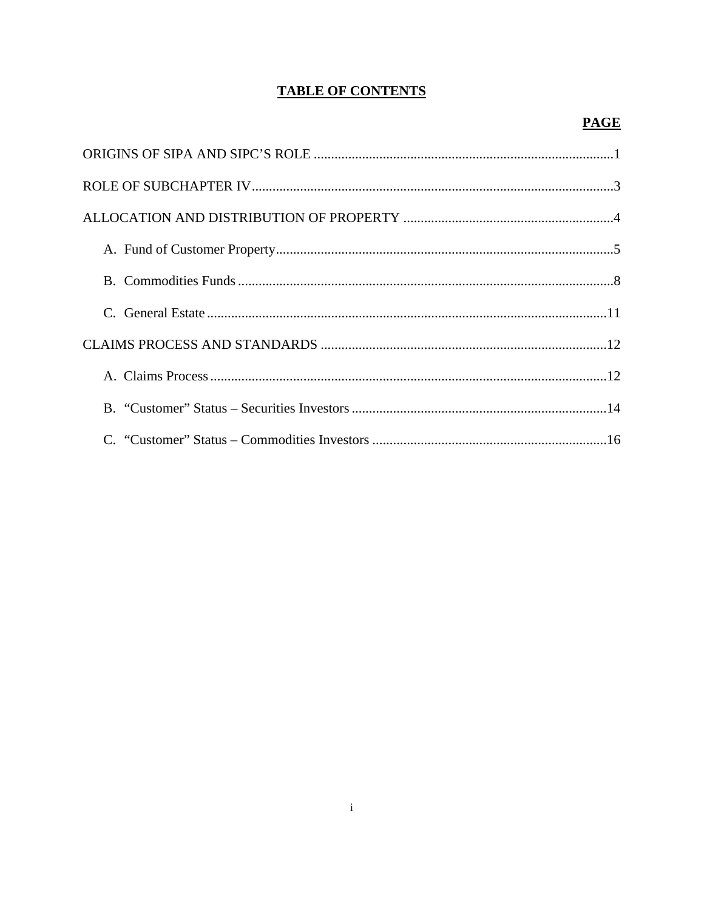# **TABLE OF CONTENTS**

# **PAGE**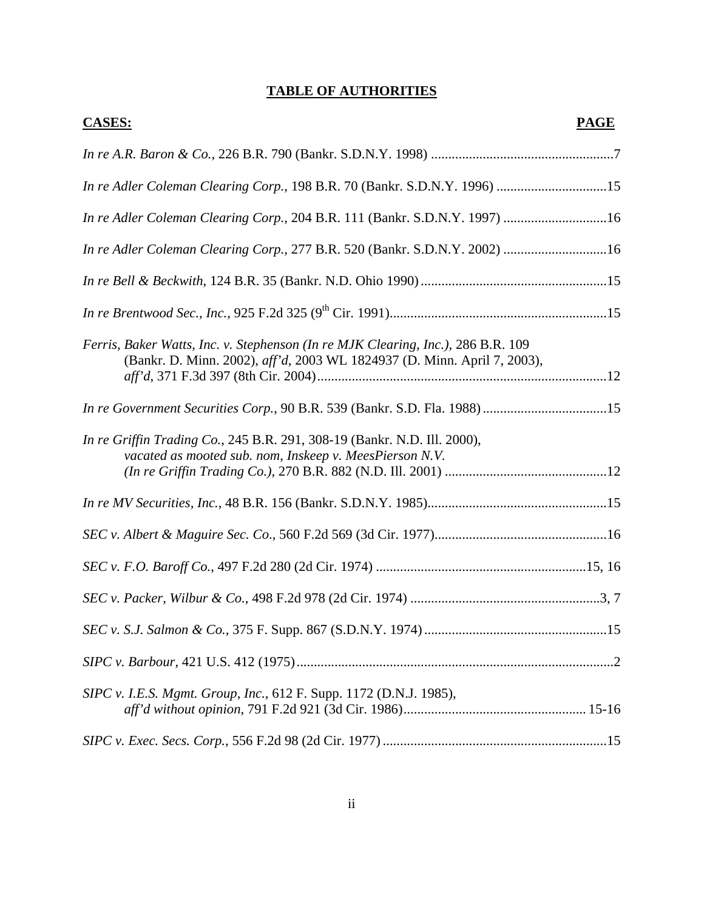| <b>CASES:</b>                                                                                                                                                | <b>PAGE</b> |
|--------------------------------------------------------------------------------------------------------------------------------------------------------------|-------------|
|                                                                                                                                                              |             |
| In re Adler Coleman Clearing Corp., 198 B.R. 70 (Bankr. S.D.N.Y. 1996) 15                                                                                    |             |
| In re Adler Coleman Clearing Corp., 204 B.R. 111 (Bankr. S.D.N.Y. 1997) 16                                                                                   |             |
| In re Adler Coleman Clearing Corp., 277 B.R. 520 (Bankr. S.D.N.Y. 2002) 16                                                                                   |             |
|                                                                                                                                                              |             |
|                                                                                                                                                              |             |
| Ferris, Baker Watts, Inc. v. Stephenson (In re MJK Clearing, Inc.), 286 B.R. 109<br>(Bankr. D. Minn. 2002), aff'd, 2003 WL 1824937 (D. Minn. April 7, 2003), |             |
| In re Government Securities Corp., 90 B.R. 539 (Bankr. S.D. Fla. 1988) 15                                                                                    |             |
| In re Griffin Trading Co., 245 B.R. 291, 308-19 (Bankr. N.D. Ill. 2000),<br>vacated as mooted sub. nom, Inskeep v. MeesPierson N.V.                          |             |
|                                                                                                                                                              |             |
|                                                                                                                                                              |             |
|                                                                                                                                                              |             |
|                                                                                                                                                              |             |
|                                                                                                                                                              |             |
|                                                                                                                                                              |             |
| SIPC v. I.E.S. Mgmt. Group, Inc., 612 F. Supp. 1172 (D.N.J. 1985),                                                                                           |             |
|                                                                                                                                                              |             |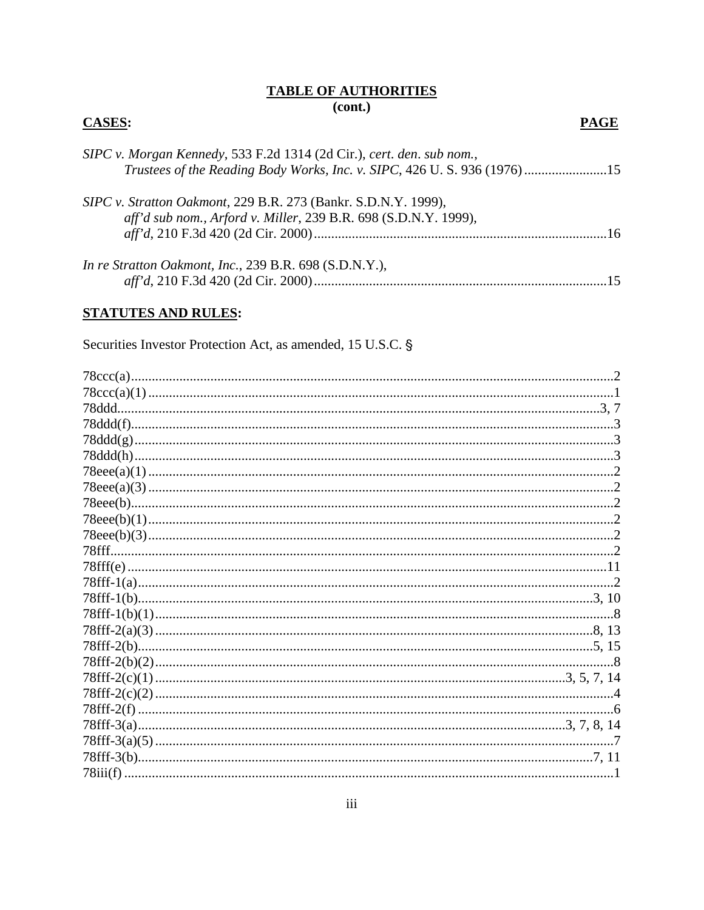## **TABLE OF AUTHORITIES**  $(cont.)$

## **CASES:**

# SIPC v. Morgan Kennedy, 533 F.2d 1314 (2d Cir.), cert. den. sub nom., Trustees of the Reading Body Works, Inc. v. SIPC, 426 U. S. 936 (1976).......................15 SIPC v. Stratton Oakmont, 229 B.R. 273 (Bankr. S.D.N.Y. 1999), aff'd sub nom., Arford v. Miller, 239 B.R. 698 (S.D.N.Y. 1999), In re Stratton Oakmont, Inc., 239 B.R. 698 (S.D.N.Y.),

# **STATUTES AND RULES:**

Securities Investor Protection Act, as amended, 15 U.S.C. §

| 78fff. |  |
|--------|--|
|        |  |
|        |  |
|        |  |
|        |  |
|        |  |
|        |  |
|        |  |
|        |  |
|        |  |
|        |  |
|        |  |
|        |  |
|        |  |
|        |  |

**PAGE**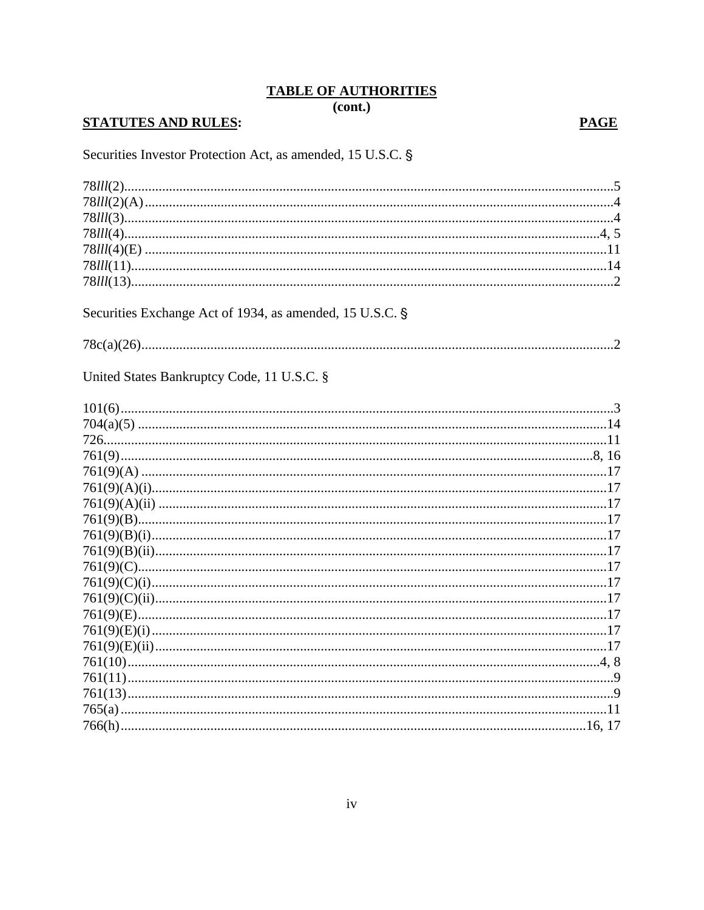$\overline{(cont.)}$ 

# **STATUTES AND RULES:**

# **PAGE**

Securities Investor Protection Act, as amended, 15 U.S.C. §

| Securities Exchange Act of 1934, as amended, 15 U.S.C. § |
|----------------------------------------------------------|
|                                                          |
|                                                          |
| United States Bankruptcy Code, 11 U.S.C. §               |
|                                                          |
|                                                          |
|                                                          |
|                                                          |
|                                                          |
|                                                          |
|                                                          |
|                                                          |
|                                                          |
|                                                          |
|                                                          |
|                                                          |
|                                                          |
|                                                          |
|                                                          |
|                                                          |
|                                                          |
|                                                          |
|                                                          |
|                                                          |
|                                                          |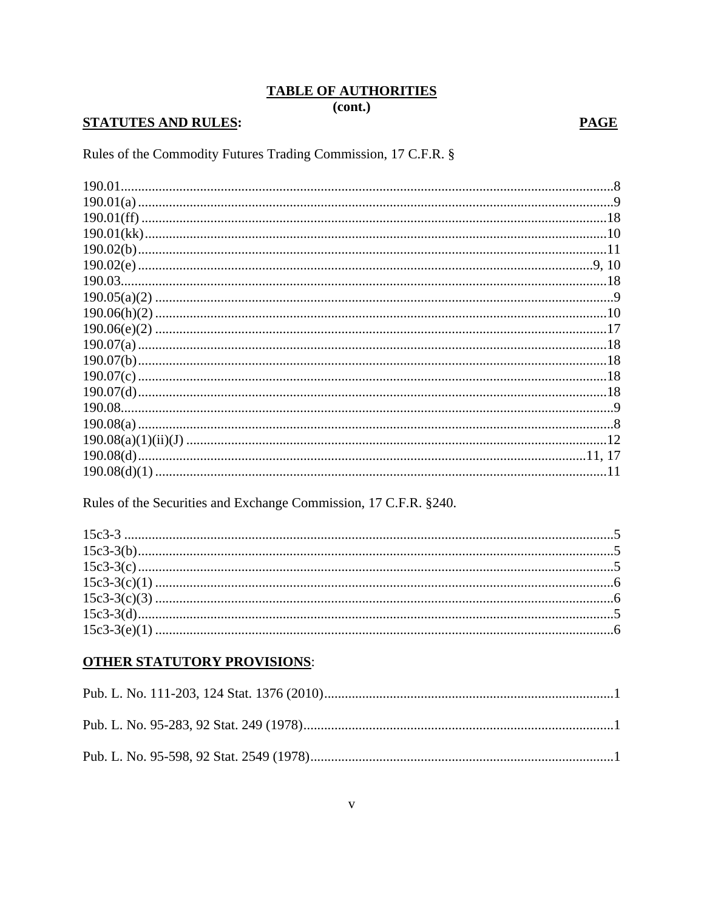$\overline{(cont.)}$ 

# **STATUTES AND RULES:**

# **PAGE**

Rules of the Commodity Futures Trading Commission, 17 C.F.R. §

| .11 |
|-----|
|     |

Rules of the Securities and Exchange Commission, 17 C.F.R. §240.

# **OTHER STATUTORY PROVISIONS:**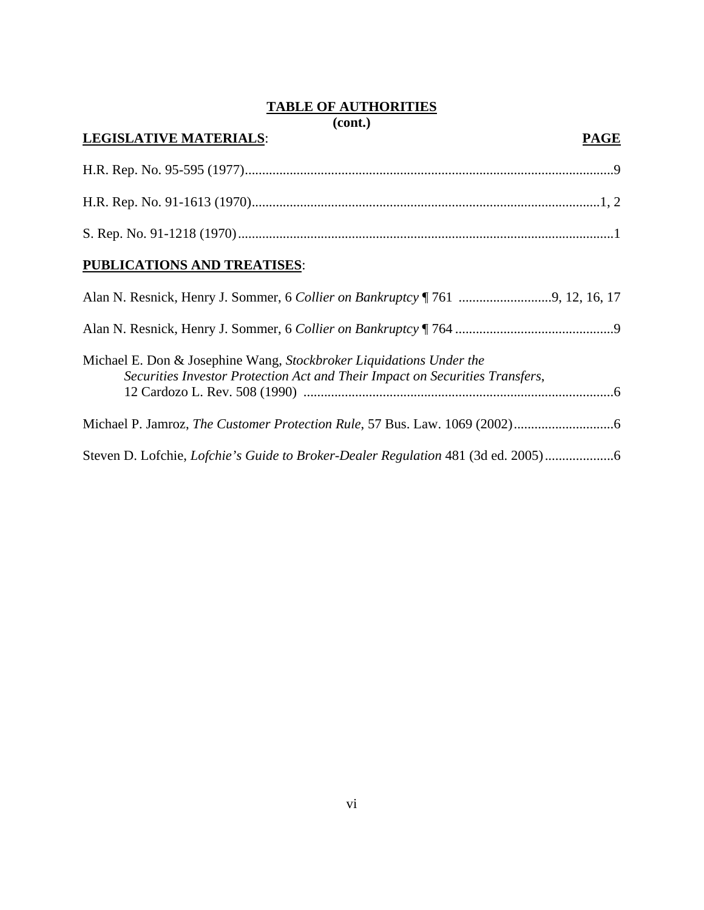**(cont.)** 

# **LEGISLATIVE MATERIALS**: **PAGE**  H.R. Rep. No. 95-595 (1977) ...........................................................................................................9 H.R. Rep. No. 91-1613 (1970) .....................................................................................................1, 2 S. Rep. No. 91-1218 (1970) .............................................................................................................1 **PUBLICATIONS AND TREATISES**: Alan N. Resnick, Henry J. Sommer, 6 *Collier on Bankruptcy* ¶ 761 ...........................9, 12, 16, 17 Alan N. Resnick, Henry J. Sommer, 6 *Collier on Bankruptcy* ¶ 764 ..............................................9 Michael E. Don & Josephine Wang, *Stockbroker Liquidations Under the Securities Investor Protection Act and Their Impact on Securities Transfers*, 12 Cardozo L. Rev. 508 (1990) ..........................................................................................6

Steven D. Lofchie, *Lofchie's Guide to Broker-Dealer Regulation* 481 (3d ed. 2005) ....................6

Michael P. Jamroz, *The Customer Protection Rule*, 57 Bus. Law. 1069 (2002) .............................6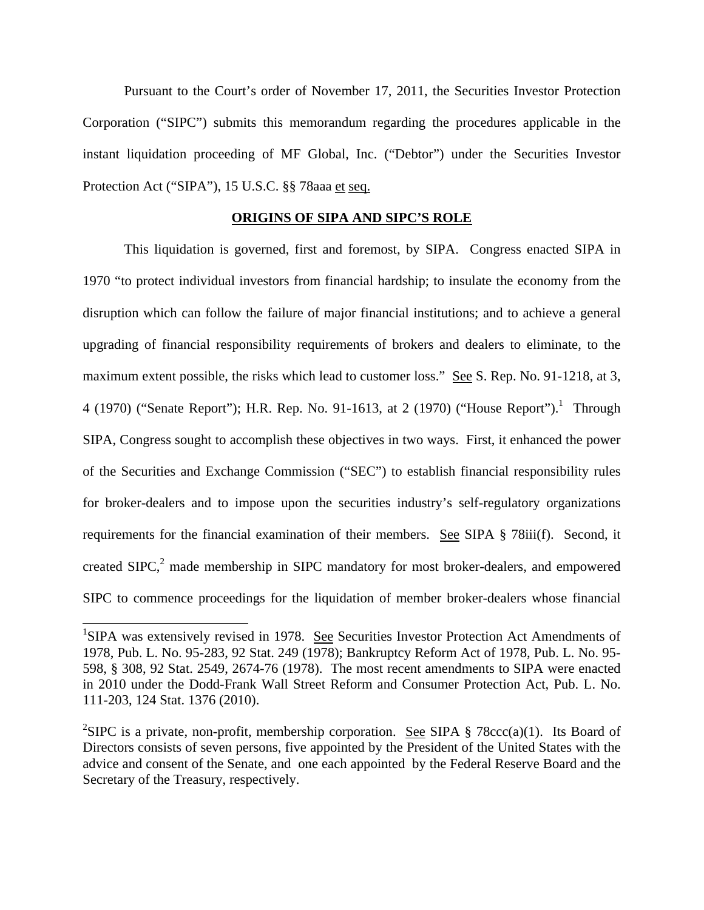Pursuant to the Court's order of November 17, 2011, the Securities Investor Protection Corporation ("SIPC") submits this memorandum regarding the procedures applicable in the instant liquidation proceeding of MF Global, Inc. ("Debtor") under the Securities Investor Protection Act ("SIPA"), 15 U.S.C. §§ 78aaa et seq.

#### **ORIGINS OF SIPA AND SIPC'S ROLE**

 This liquidation is governed, first and foremost, by SIPA. Congress enacted SIPA in 1970 "to protect individual investors from financial hardship; to insulate the economy from the disruption which can follow the failure of major financial institutions; and to achieve a general upgrading of financial responsibility requirements of brokers and dealers to eliminate, to the maximum extent possible, the risks which lead to customer loss." See S. Rep. No. 91-1218, at 3, 4 (1970) ("Senate Report"); H.R. Rep. No. 91-1613, at 2 (1970) ("House Report").<sup>1</sup> Through SIPA, Congress sought to accomplish these objectives in two ways. First, it enhanced the power of the Securities and Exchange Commission ("SEC") to establish financial responsibility rules for broker-dealers and to impose upon the securities industry's self-regulatory organizations requirements for the financial examination of their members. See SIPA § 78iii(f). Second, it created SIPC, $2$  made membership in SIPC mandatory for most broker-dealers, and empowered SIPC to commence proceedings for the liquidation of member broker-dealers whose financial

 $\overline{a}$ 

<sup>&</sup>lt;sup>1</sup>SIPA was extensively revised in 1978. See Securities Investor Protection Act Amendments of 1978, Pub. L. No. 95-283, 92 Stat. 249 (1978); Bankruptcy Reform Act of 1978, Pub. L. No. 95- 598, § 308, 92 Stat. 2549, 2674-76 (1978). The most recent amendments to SIPA were enacted in 2010 under the Dodd-Frank Wall Street Reform and Consumer Protection Act, Pub. L. No. 111-203, 124 Stat. 1376 (2010).

<sup>&</sup>lt;sup>2</sup>SIPC is a private, non-profit, membership corporation. <u>See</u> SIPA § 78ccc(a)(1). Its Board of Directors consists of seven persons, five appointed by the President of the United States with the advice and consent of the Senate, and one each appointed by the Federal Reserve Board and the Secretary of the Treasury, respectively.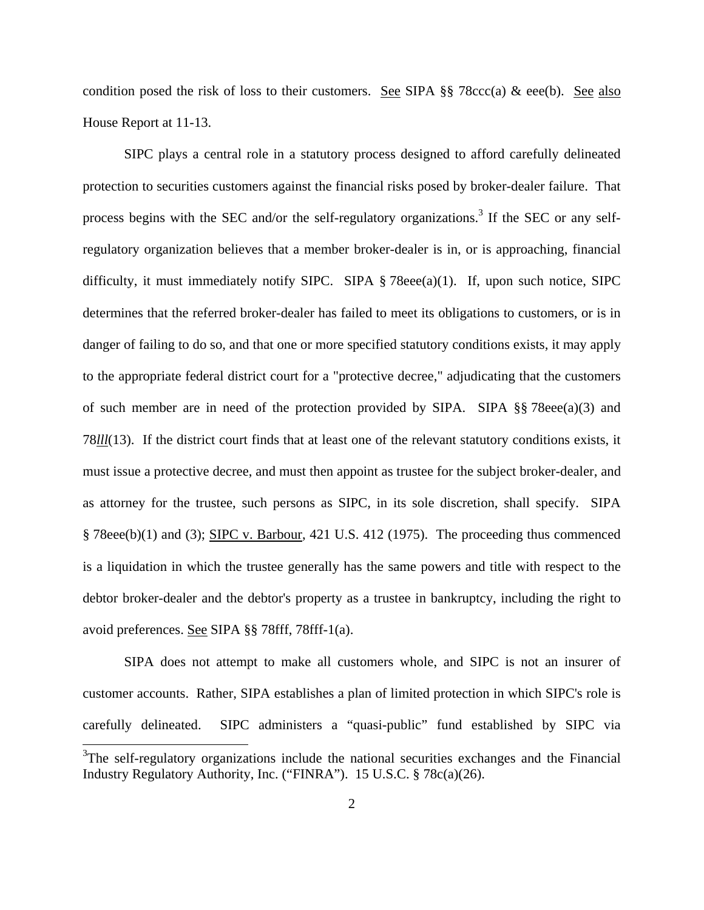condition posed the risk of loss to their customers. See SIPA  $\S$  78ccc(a) & eee(b). See also House Report at 11-13.

 SIPC plays a central role in a statutory process designed to afford carefully delineated protection to securities customers against the financial risks posed by broker-dealer failure. That process begins with the SEC and/or the self-regulatory organizations.<sup>3</sup> If the SEC or any selfregulatory organization believes that a member broker-dealer is in, or is approaching, financial difficulty, it must immediately notify SIPC. SIPA  $\S$  78eee(a)(1). If, upon such notice, SIPC determines that the referred broker-dealer has failed to meet its obligations to customers, or is in danger of failing to do so, and that one or more specified statutory conditions exists, it may apply to the appropriate federal district court for a "protective decree," adjudicating that the customers of such member are in need of the protection provided by SIPA. SIPA  $\S$  78eee(a)(3) and 78*lll*(13). If the district court finds that at least one of the relevant statutory conditions exists, it must issue a protective decree, and must then appoint as trustee for the subject broker-dealer, and as attorney for the trustee, such persons as SIPC, in its sole discretion, shall specify. SIPA § 78eee(b)(1) and (3); SIPC v. Barbour, 421 U.S. 412 (1975). The proceeding thus commenced is a liquidation in which the trustee generally has the same powers and title with respect to the debtor broker-dealer and the debtor's property as a trustee in bankruptcy, including the right to avoid preferences. See SIPA §§ 78fff, 78fff-1(a).

 SIPA does not attempt to make all customers whole, and SIPC is not an insurer of customer accounts. Rather, SIPA establishes a plan of limited protection in which SIPC's role is carefully delineated. SIPC administers a "quasi-public" fund established by SIPC via  $\overline{a}$  $3$ The self-regulatory organizations include the national securities exchanges and the Financial Industry Regulatory Authority, Inc. ("FINRA"). 15 U.S.C. § 78c(a)(26).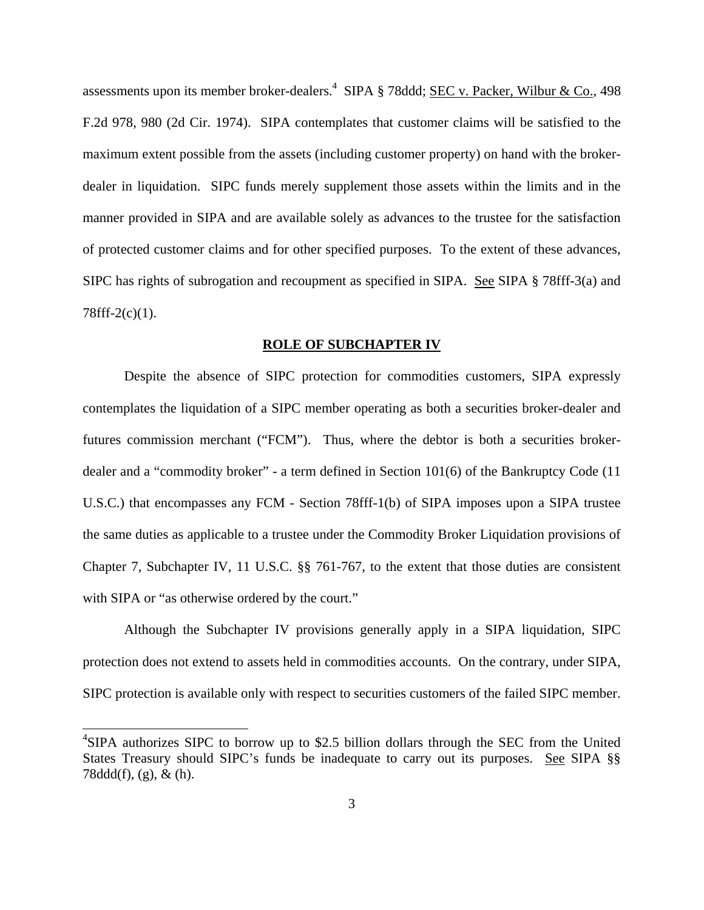assessments upon its member broker-dealers.<sup>4</sup> SIPA § 78ddd; <u>SEC v. Packer, Wilbur & Co.</u>, 498 F.2d 978, 980 (2d Cir. 1974). SIPA contemplates that customer claims will be satisfied to the maximum extent possible from the assets (including customer property) on hand with the brokerdealer in liquidation. SIPC funds merely supplement those assets within the limits and in the manner provided in SIPA and are available solely as advances to the trustee for the satisfaction of protected customer claims and for other specified purposes. To the extent of these advances, SIPC has rights of subrogation and recoupment as specified in SIPA. See SIPA § 78fff-3(a) and 78fff-2(c)(1).

#### **ROLE OF SUBCHAPTER IV**

 Despite the absence of SIPC protection for commodities customers, SIPA expressly contemplates the liquidation of a SIPC member operating as both a securities broker-dealer and futures commission merchant ("FCM"). Thus, where the debtor is both a securities brokerdealer and a "commodity broker" - a term defined in Section 101(6) of the Bankruptcy Code (11 U.S.C.) that encompasses any FCM - Section 78fff-1(b) of SIPA imposes upon a SIPA trustee the same duties as applicable to a trustee under the Commodity Broker Liquidation provisions of Chapter 7, Subchapter IV, 11 U.S.C. §§ 761-767, to the extent that those duties are consistent with SIPA or "as otherwise ordered by the court."

 Although the Subchapter IV provisions generally apply in a SIPA liquidation, SIPC protection does not extend to assets held in commodities accounts. On the contrary, under SIPA, SIPC protection is available only with respect to securities customers of the failed SIPC member.

l

<sup>&</sup>lt;sup>4</sup>SIPA authorizes SIPC to borrow up to \$2.5 billion dollars through the SEC from the United States Treasury should SIPC's funds be inadequate to carry out its purposes. See SIPA §§ 78ddd(f), (g), & (h).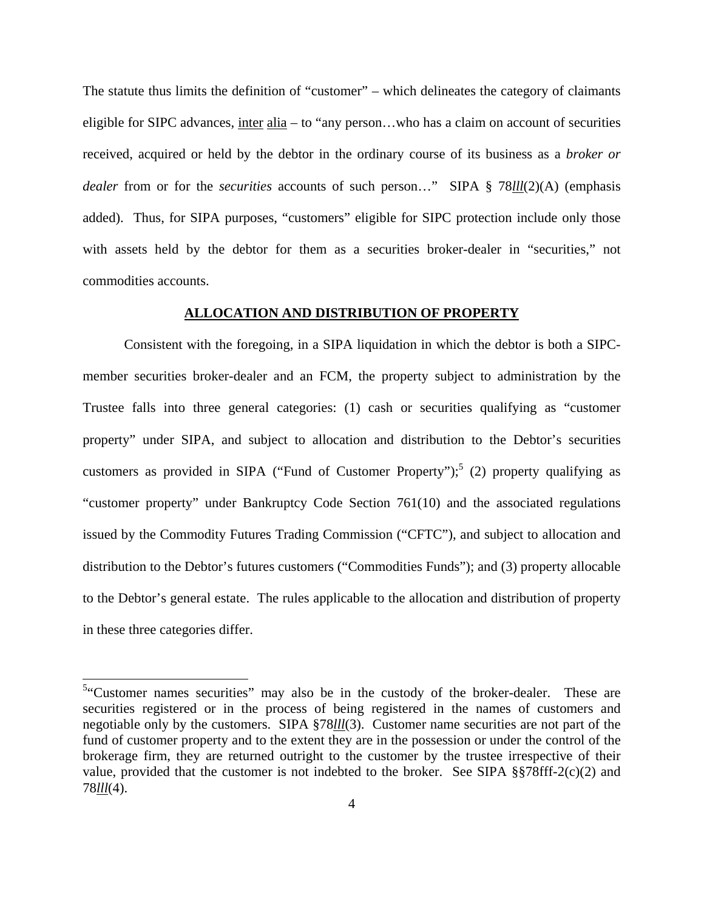The statute thus limits the definition of "customer" – which delineates the category of claimants eligible for SIPC advances, inter alia – to "any person…who has a claim on account of securities received, acquired or held by the debtor in the ordinary course of its business as a *broker or dealer* from or for the *securities* accounts of such person…" SIPA § 78*lll*(2)(A) (emphasis added). Thus, for SIPA purposes, "customers" eligible for SIPC protection include only those with assets held by the debtor for them as a securities broker-dealer in "securities," not commodities accounts.

## **ALLOCATION AND DISTRIBUTION OF PROPERTY**

Consistent with the foregoing, in a SIPA liquidation in which the debtor is both a SIPCmember securities broker-dealer and an FCM, the property subject to administration by the Trustee falls into three general categories: (1) cash or securities qualifying as "customer property" under SIPA, and subject to allocation and distribution to the Debtor's securities customers as provided in SIPA ("Fund of Customer Property");<sup>5</sup> (2) property qualifying as "customer property" under Bankruptcy Code Section 761(10) and the associated regulations issued by the Commodity Futures Trading Commission ("CFTC"), and subject to allocation and distribution to the Debtor's futures customers ("Commodities Funds"); and (3) property allocable to the Debtor's general estate. The rules applicable to the allocation and distribution of property in these three categories differ.

 $\overline{a}$ 

<sup>&</sup>lt;sup>5</sup>"Customer names securities" may also be in the custody of the broker-dealer. These are securities registered or in the process of being registered in the names of customers and negotiable only by the customers. SIPA §78*lll*(3). Customer name securities are not part of the fund of customer property and to the extent they are in the possession or under the control of the brokerage firm, they are returned outright to the customer by the trustee irrespective of their value, provided that the customer is not indebted to the broker. See SIPA  $\S$  $78$ fff-2(c)(2) and 78*lll*(4).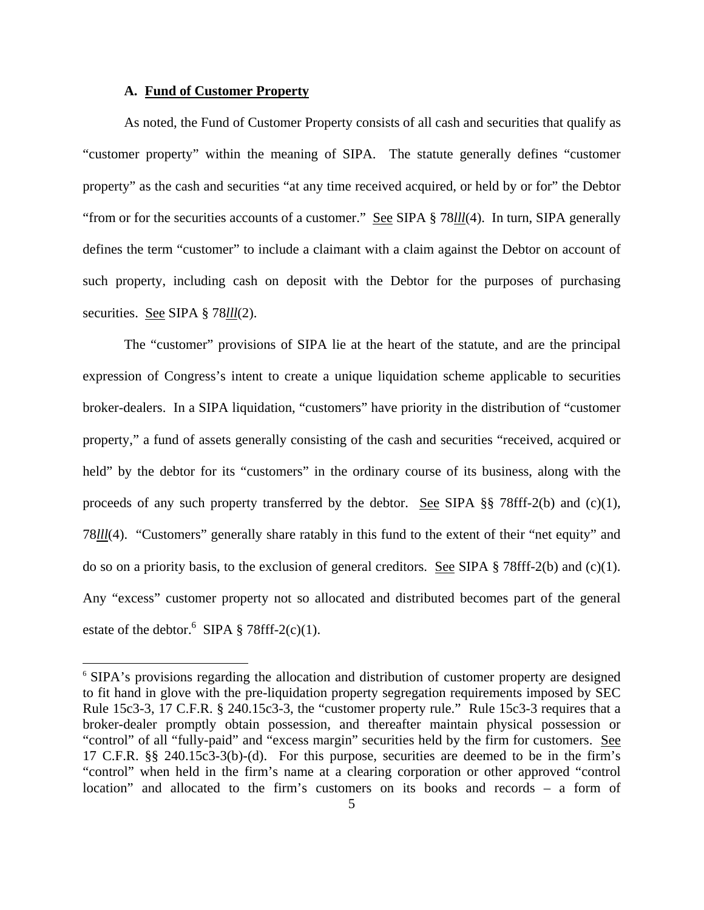## **A. Fund of Customer Property**

 $\overline{\phantom{a}}$ 

As noted, the Fund of Customer Property consists of all cash and securities that qualify as "customer property" within the meaning of SIPA. The statute generally defines "customer property" as the cash and securities "at any time received acquired, or held by or for" the Debtor "from or for the securities accounts of a customer." See SIPA § 78*lll*(4). In turn, SIPA generally defines the term "customer" to include a claimant with a claim against the Debtor on account of such property, including cash on deposit with the Debtor for the purposes of purchasing securities. See SIPA § 78*lll*(2).

The "customer" provisions of SIPA lie at the heart of the statute, and are the principal expression of Congress's intent to create a unique liquidation scheme applicable to securities broker-dealers. In a SIPA liquidation, "customers" have priority in the distribution of "customer property," a fund of assets generally consisting of the cash and securities "received, acquired or held" by the debtor for its "customers" in the ordinary course of its business, along with the proceeds of any such property transferred by the debtor. <u>See</u> SIPA  $\S$  78fff-2(b) and (c)(1), 78*lll*(4). "Customers" generally share ratably in this fund to the extent of their "net equity" and do so on a priority basis, to the exclusion of general creditors. See SIPA  $\S$  78fff-2(b) and (c)(1). Any "excess" customer property not so allocated and distributed becomes part of the general estate of the debtor.  $6$  SIPA § 78fff-2(c)(1).

<sup>&</sup>lt;sup>6</sup> SIPA's provisions regarding the allocation and distribution of customer property are designed to fit hand in glove with the pre-liquidation property segregation requirements imposed by SEC Rule 15c3-3, 17 C.F.R. § 240.15c3-3, the "customer property rule." Rule 15c3-3 requires that a broker-dealer promptly obtain possession, and thereafter maintain physical possession or "control" of all "fully-paid" and "excess margin" securities held by the firm for customers. See 17 C.F.R. §§ 240.15c3-3(b)-(d). For this purpose, securities are deemed to be in the firm's "control" when held in the firm's name at a clearing corporation or other approved "control location" and allocated to the firm's customers on its books and records – a form of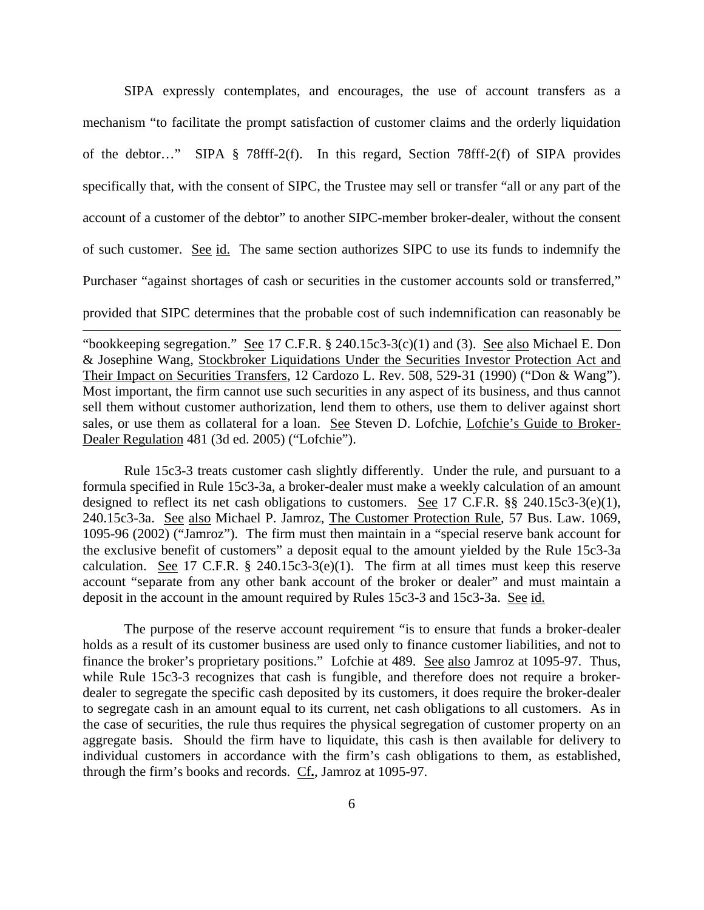SIPA expressly contemplates, and encourages, the use of account transfers as a mechanism "to facilitate the prompt satisfaction of customer claims and the orderly liquidation of the debtor…" SIPA § 78fff-2(f). In this regard, Section 78fff-2(f) of SIPA provides specifically that, with the consent of SIPC, the Trustee may sell or transfer "all or any part of the account of a customer of the debtor" to another SIPC-member broker-dealer, without the consent of such customer. See id. The same section authorizes SIPC to use its funds to indemnify the Purchaser "against shortages of cash or securities in the customer accounts sold or transferred," provided that SIPC determines that the probable cost of such indemnification can reasonably be

"bookkeeping segregation." See 17 C.F.R.  $\S$  240.15c3-3(c)(1) and (3). See also Michael E. Don & Josephine Wang, Stockbroker Liquidations Under the Securities Investor Protection Act and Their Impact on Securities Transfers, 12 Cardozo L. Rev. 508, 529-31 (1990) ("Don & Wang"). Most important, the firm cannot use such securities in any aspect of its business, and thus cannot sell them without customer authorization, lend them to others, use them to deliver against short sales, or use them as collateral for a loan. See Steven D. Lofchie, Lofchie's Guide to Broker-Dealer Regulation 481 (3d ed. 2005) ("Lofchie").

 $\overline{\phantom{a}}$ 

Rule 15c3-3 treats customer cash slightly differently. Under the rule, and pursuant to a formula specified in Rule 15c3-3a, a broker-dealer must make a weekly calculation of an amount designed to reflect its net cash obligations to customers. See 17 C.F.R. §§ 240.15c3-3(e)(1), 240.15c3-3a. See also Michael P. Jamroz, The Customer Protection Rule, 57 Bus. Law. 1069, 1095-96 (2002) ("Jamroz"). The firm must then maintain in a "special reserve bank account for the exclusive benefit of customers" a deposit equal to the amount yielded by the Rule 15c3-3a calculation. See 17 C.F.R.  $\S$  240.15c3-3(e)(1). The firm at all times must keep this reserve account "separate from any other bank account of the broker or dealer" and must maintain a deposit in the account in the amount required by Rules 15c3-3 and 15c3-3a. See id.

The purpose of the reserve account requirement "is to ensure that funds a broker-dealer holds as a result of its customer business are used only to finance customer liabilities, and not to finance the broker's proprietary positions." Lofchie at 489. See also Jamroz at 1095-97. Thus, while Rule 15c3-3 recognizes that cash is fungible, and therefore does not require a brokerdealer to segregate the specific cash deposited by its customers, it does require the broker-dealer to segregate cash in an amount equal to its current, net cash obligations to all customers. As in the case of securities, the rule thus requires the physical segregation of customer property on an aggregate basis. Should the firm have to liquidate, this cash is then available for delivery to individual customers in accordance with the firm's cash obligations to them, as established, through the firm's books and records. Cf**.**, Jamroz at 1095-97.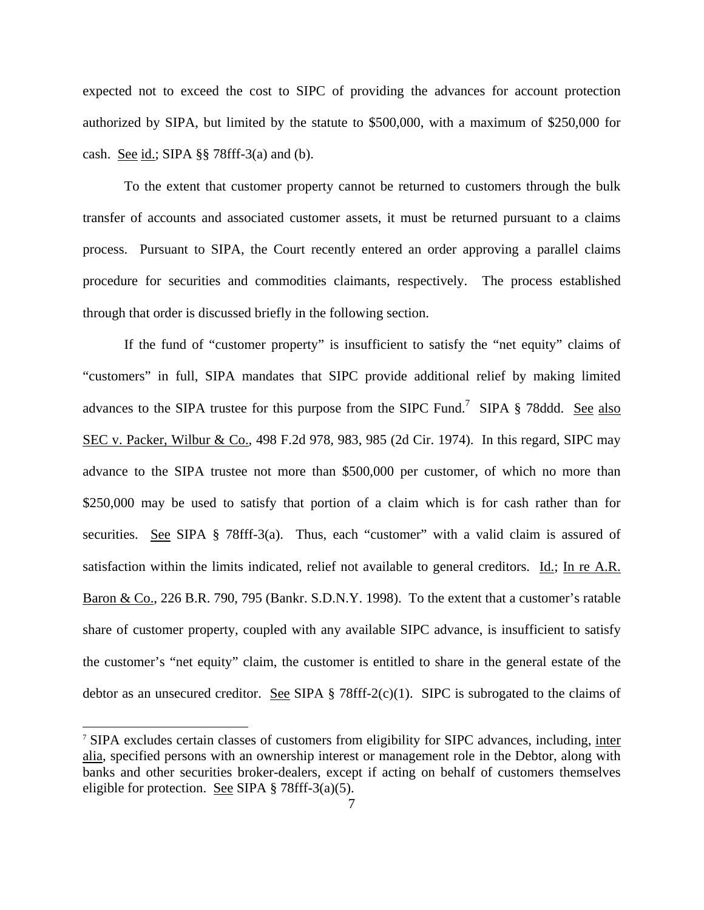expected not to exceed the cost to SIPC of providing the advances for account protection authorized by SIPA, but limited by the statute to \$500,000, with a maximum of \$250,000 for cash. See id.; SIPA  $\S$ § 78fff-3(a) and (b).

To the extent that customer property cannot be returned to customers through the bulk transfer of accounts and associated customer assets, it must be returned pursuant to a claims process. Pursuant to SIPA, the Court recently entered an order approving a parallel claims procedure for securities and commodities claimants, respectively. The process established through that order is discussed briefly in the following section.

If the fund of "customer property" is insufficient to satisfy the "net equity" claims of "customers" in full, SIPA mandates that SIPC provide additional relief by making limited advances to the SIPA trustee for this purpose from the SIPC Fund.<sup>7</sup> SIPA § 78ddd. See also SEC v. Packer, Wilbur & Co., 498 F.2d 978, 983, 985 (2d Cir. 1974). In this regard, SIPC may advance to the SIPA trustee not more than \$500,000 per customer, of which no more than \$250,000 may be used to satisfy that portion of a claim which is for cash rather than for securities. See SIPA § 78fff-3(a). Thus, each "customer" with a valid claim is assured of satisfaction within the limits indicated, relief not available to general creditors. Id.; In re A.R. Baron & Co., 226 B.R. 790, 795 (Bankr. S.D.N.Y. 1998). To the extent that a customer's ratable share of customer property, coupled with any available SIPC advance, is insufficient to satisfy the customer's "net equity" claim, the customer is entitled to share in the general estate of the debtor as an unsecured creditor. <u>See</u> SIPA  $\S$  78fff-2(c)(1). SIPC is subrogated to the claims of

 $\overline{\phantom{a}}$ 

<sup>&</sup>lt;sup>7</sup> SIPA excludes certain classes of customers from eligibility for SIPC advances, including, inter alia, specified persons with an ownership interest or management role in the Debtor, along with banks and other securities broker-dealers, except if acting on behalf of customers themselves eligible for protection. See SIPA  $\S$  78fff-3(a)(5).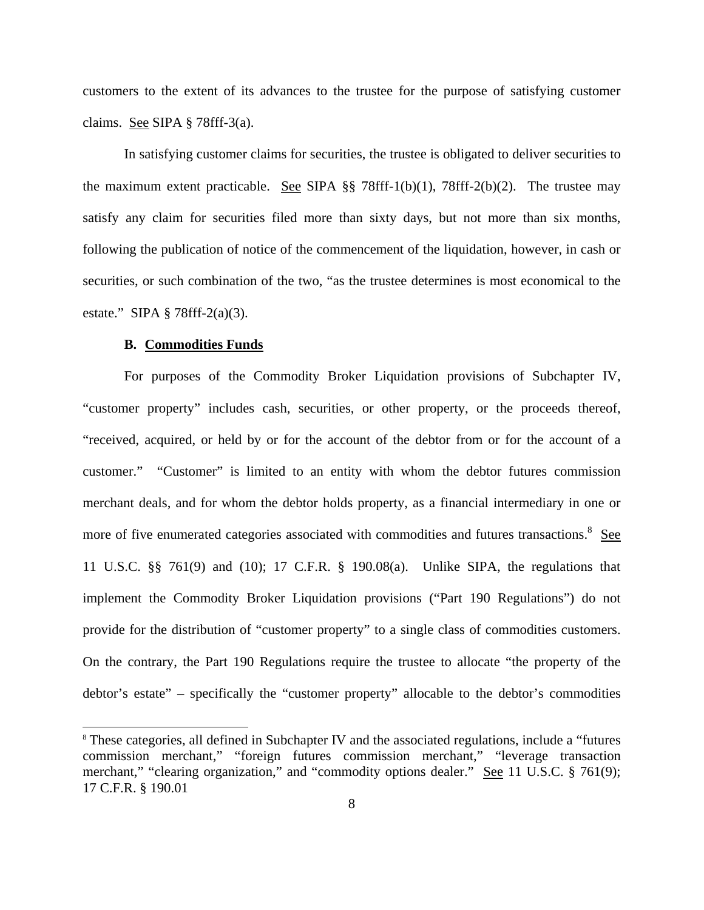customers to the extent of its advances to the trustee for the purpose of satisfying customer claims. See SIPA § 78fff-3(a).

In satisfying customer claims for securities, the trustee is obligated to deliver securities to the maximum extent practicable. See SIPA  $\S$  78fff-1(b)(1), 78fff-2(b)(2). The trustee may satisfy any claim for securities filed more than sixty days, but not more than six months, following the publication of notice of the commencement of the liquidation, however, in cash or securities, or such combination of the two, "as the trustee determines is most economical to the estate." SIPA § 78fff-2(a)(3).

#### **B. Commodities Funds**

 $\overline{\phantom{a}}$ 

For purposes of the Commodity Broker Liquidation provisions of Subchapter IV, "customer property" includes cash, securities, or other property, or the proceeds thereof, "received, acquired, or held by or for the account of the debtor from or for the account of a customer." "Customer" is limited to an entity with whom the debtor futures commission merchant deals, and for whom the debtor holds property, as a financial intermediary in one or more of five enumerated categories associated with commodities and futures transactions. <sup>8</sup> See 11 U.S.C. §§ 761(9) and (10); 17 C.F.R. § 190.08(a). Unlike SIPA, the regulations that implement the Commodity Broker Liquidation provisions ("Part 190 Regulations") do not provide for the distribution of "customer property" to a single class of commodities customers. On the contrary, the Part 190 Regulations require the trustee to allocate "the property of the debtor's estate" – specifically the "customer property" allocable to the debtor's commodities

<sup>&</sup>lt;sup>8</sup> These categories, all defined in Subchapter IV and the associated regulations, include a "futures" commission merchant," "foreign futures commission merchant," "leverage transaction merchant," "clearing organization," and "commodity options dealer." See 11 U.S.C. § 761(9); 17 C.F.R. § 190.01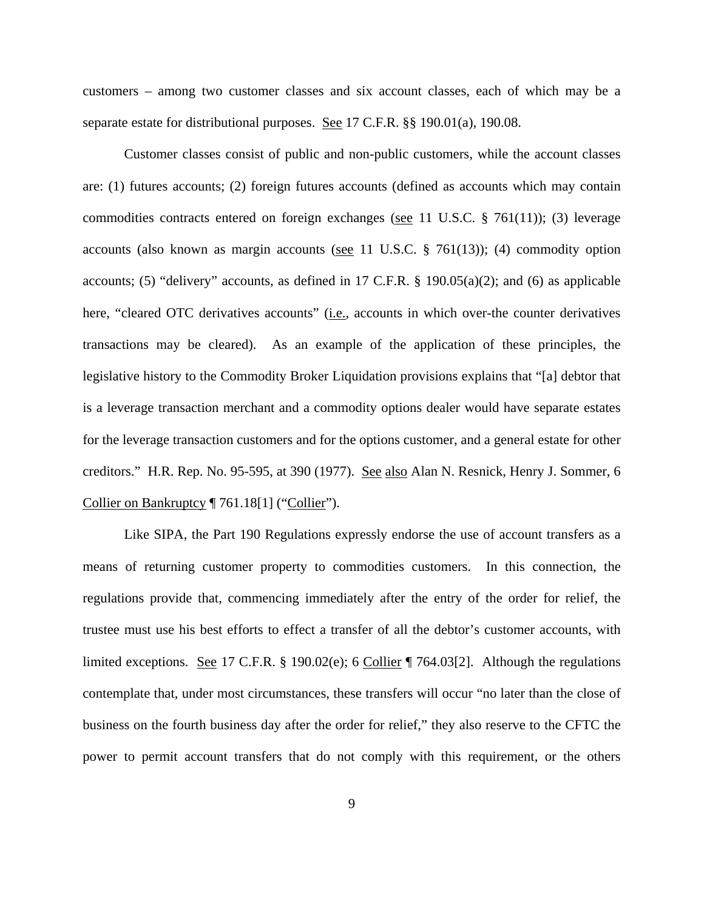customers – among two customer classes and six account classes, each of which may be a separate estate for distributional purposes. See 17 C.F.R. §§ 190.01(a), 190.08.

Customer classes consist of public and non-public customers, while the account classes are: (1) futures accounts; (2) foreign futures accounts (defined as accounts which may contain commodities contracts entered on foreign exchanges (see 11 U.S.C.  $\S$  761(11)); (3) leverage accounts (also known as margin accounts (see 11 U.S.C. § 761(13)); (4) commodity option accounts; (5) "delivery" accounts, as defined in 17 C.F.R.  $\S$  190.05(a)(2); and (6) as applicable here, "cleared OTC derivatives accounts" (*i.e.*, accounts in which over-the counter derivatives transactions may be cleared). As an example of the application of these principles, the legislative history to the Commodity Broker Liquidation provisions explains that "[a] debtor that is a leverage transaction merchant and a commodity options dealer would have separate estates for the leverage transaction customers and for the options customer, and a general estate for other creditors." H.R. Rep. No. 95-595, at 390 (1977). See also Alan N. Resnick, Henry J. Sommer, 6 Collier on Bankruptcy ¶ 761.18[1] ("Collier").

Like SIPA, the Part 190 Regulations expressly endorse the use of account transfers as a means of returning customer property to commodities customers. In this connection, the regulations provide that, commencing immediately after the entry of the order for relief, the trustee must use his best efforts to effect a transfer of all the debtor's customer accounts, with limited exceptions. <u>See</u> 17 C.F.R. § 190.02(e); 6 Collier  $\parallel$  764.03[2]. Although the regulations contemplate that, under most circumstances, these transfers will occur "no later than the close of business on the fourth business day after the order for relief," they also reserve to the CFTC the power to permit account transfers that do not comply with this requirement, or the others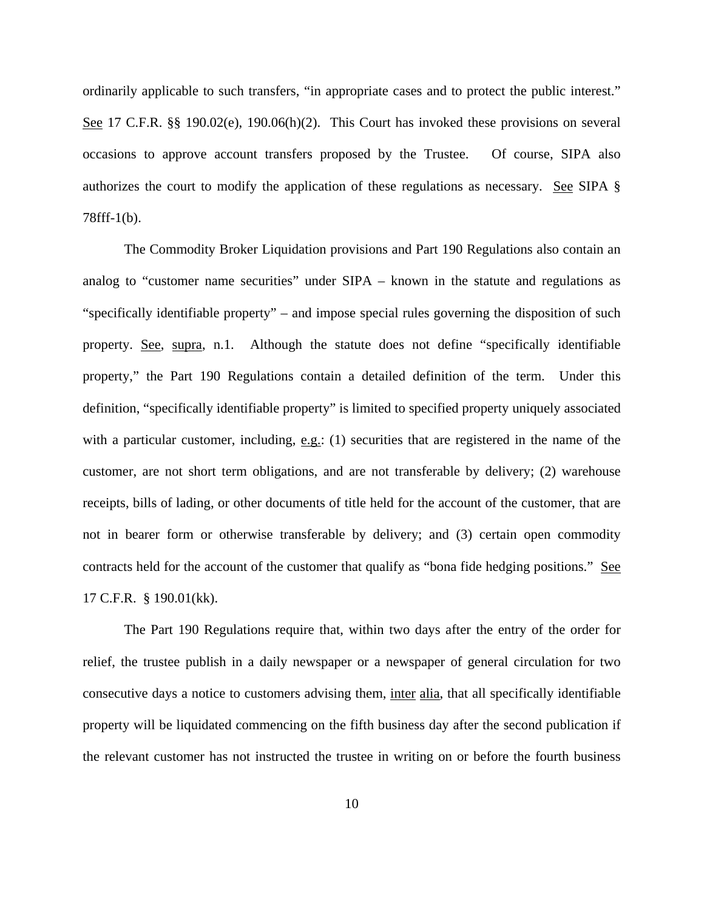ordinarily applicable to such transfers, "in appropriate cases and to protect the public interest." See 17 C.F.R. §§ 190.02(e), 190.06(h)(2). This Court has invoked these provisions on several occasions to approve account transfers proposed by the Trustee. Of course, SIPA also authorizes the court to modify the application of these regulations as necessary. See SIPA § 78fff-1(b).

The Commodity Broker Liquidation provisions and Part 190 Regulations also contain an analog to "customer name securities" under SIPA – known in the statute and regulations as "specifically identifiable property" – and impose special rules governing the disposition of such property. See, supra, n.1. Although the statute does not define "specifically identifiable property," the Part 190 Regulations contain a detailed definition of the term. Under this definition, "specifically identifiable property" is limited to specified property uniquely associated with a particular customer, including, e.g.: (1) securities that are registered in the name of the customer, are not short term obligations, and are not transferable by delivery; (2) warehouse receipts, bills of lading, or other documents of title held for the account of the customer, that are not in bearer form or otherwise transferable by delivery; and (3) certain open commodity contracts held for the account of the customer that qualify as "bona fide hedging positions." See 17 C.F.R. § 190.01(kk).

The Part 190 Regulations require that, within two days after the entry of the order for relief, the trustee publish in a daily newspaper or a newspaper of general circulation for two consecutive days a notice to customers advising them, inter alia, that all specifically identifiable property will be liquidated commencing on the fifth business day after the second publication if the relevant customer has not instructed the trustee in writing on or before the fourth business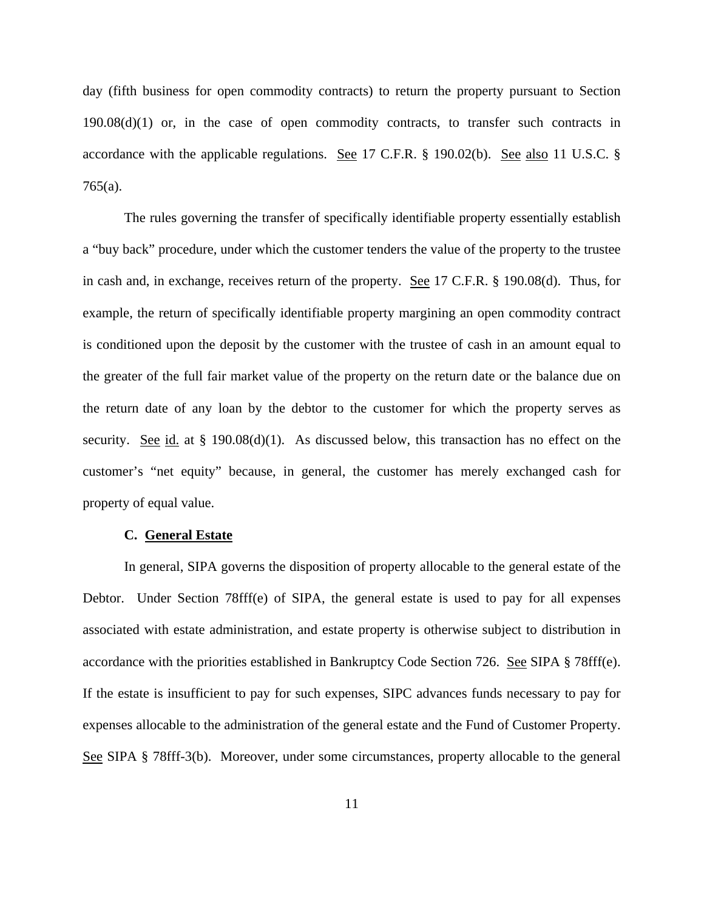day (fifth business for open commodity contracts) to return the property pursuant to Section  $190.08(d)(1)$  or, in the case of open commodity contracts, to transfer such contracts in accordance with the applicable regulations. See 17 C.F.R. § 190.02(b). See also 11 U.S.C. § 765(a).

The rules governing the transfer of specifically identifiable property essentially establish a "buy back" procedure, under which the customer tenders the value of the property to the trustee in cash and, in exchange, receives return of the property. See 17 C.F.R. § 190.08(d). Thus, for example, the return of specifically identifiable property margining an open commodity contract is conditioned upon the deposit by the customer with the trustee of cash in an amount equal to the greater of the full fair market value of the property on the return date or the balance due on the return date of any loan by the debtor to the customer for which the property serves as security. See id. at  $\S$  190.08(d)(1). As discussed below, this transaction has no effect on the customer's "net equity" because, in general, the customer has merely exchanged cash for property of equal value.

#### **C. General Estate**

In general, SIPA governs the disposition of property allocable to the general estate of the Debtor. Under Section 78fff(e) of SIPA, the general estate is used to pay for all expenses associated with estate administration, and estate property is otherwise subject to distribution in accordance with the priorities established in Bankruptcy Code Section 726. See SIPA § 78fff(e). If the estate is insufficient to pay for such expenses, SIPC advances funds necessary to pay for expenses allocable to the administration of the general estate and the Fund of Customer Property. See SIPA § 78fff-3(b). Moreover, under some circumstances, property allocable to the general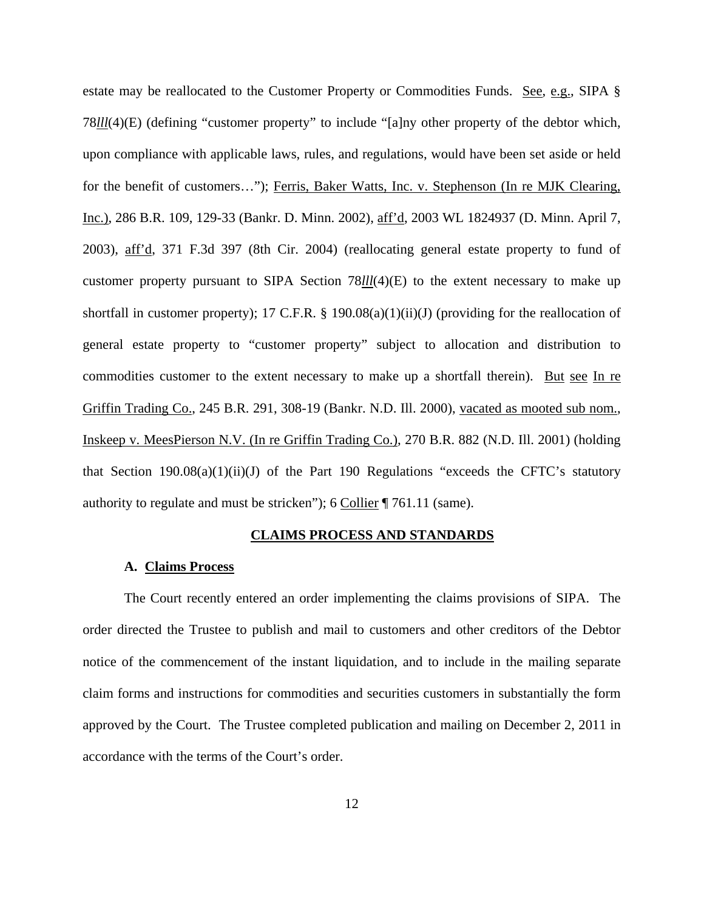estate may be reallocated to the Customer Property or Commodities Funds. See, e.g., SIPA § 78*lll*(4)(E) (defining "customer property" to include "[a]ny other property of the debtor which, upon compliance with applicable laws, rules, and regulations, would have been set aside or held for the benefit of customers..."); Ferris, Baker Watts, Inc. v. Stephenson (In re MJK Clearing, Inc.), 286 B.R. 109, 129-33 (Bankr. D. Minn. 2002), aff'd, 2003 WL 1824937 (D. Minn. April 7, 2003), aff'd, 371 F.3d 397 (8th Cir. 2004) (reallocating general estate property to fund of customer property pursuant to SIPA Section 78*lll*(4)(E) to the extent necessary to make up shortfall in customer property); 17 C.F.R. § 190.08(a)(1)(ii)(J) (providing for the reallocation of general estate property to "customer property" subject to allocation and distribution to commodities customer to the extent necessary to make up a shortfall therein). But see In re Griffin Trading Co., 245 B.R. 291, 308-19 (Bankr. N.D. Ill. 2000), vacated as mooted sub nom., Inskeep v. MeesPierson N.V. (In re Griffin Trading Co.), 270 B.R. 882 (N.D. Ill. 2001) (holding that Section  $190.08(a)(1)(ii)(J)$  of the Part 190 Regulations "exceeds the CFTC's statutory authority to regulate and must be stricken"); 6 Collier ¶ 761.11 (same).

#### **CLAIMS PROCESS AND STANDARDS**

#### **A. Claims Process**

The Court recently entered an order implementing the claims provisions of SIPA. The order directed the Trustee to publish and mail to customers and other creditors of the Debtor notice of the commencement of the instant liquidation, and to include in the mailing separate claim forms and instructions for commodities and securities customers in substantially the form approved by the Court. The Trustee completed publication and mailing on December 2, 2011 in accordance with the terms of the Court's order.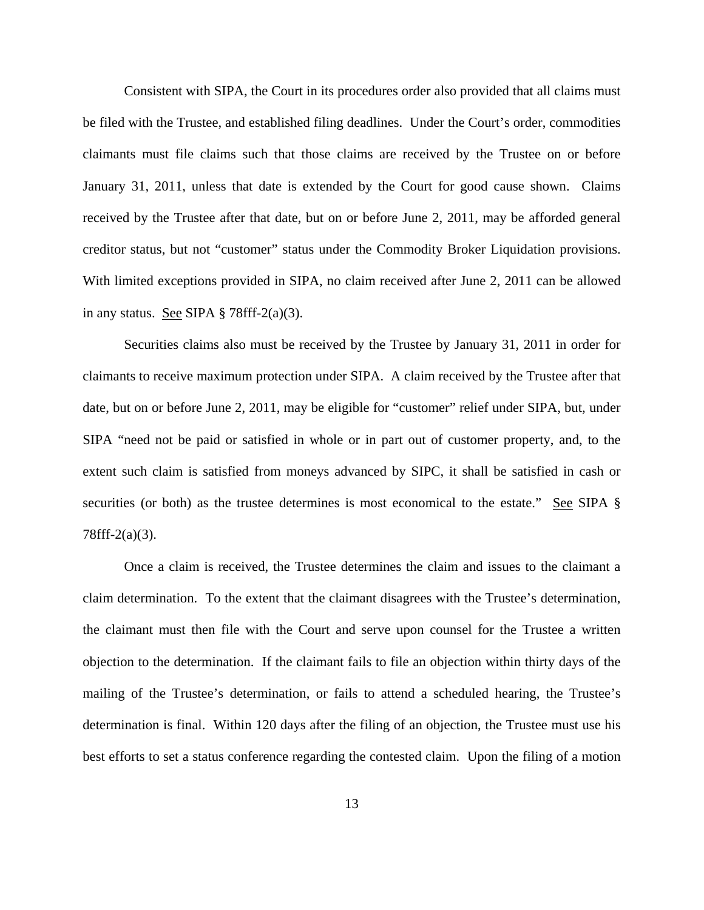Consistent with SIPA, the Court in its procedures order also provided that all claims must be filed with the Trustee, and established filing deadlines. Under the Court's order, commodities claimants must file claims such that those claims are received by the Trustee on or before January 31, 2011, unless that date is extended by the Court for good cause shown. Claims received by the Trustee after that date, but on or before June 2, 2011, may be afforded general creditor status, but not "customer" status under the Commodity Broker Liquidation provisions. With limited exceptions provided in SIPA, no claim received after June 2, 2011 can be allowed in any status. See SIPA  $\S$  78fff-2(a)(3).

Securities claims also must be received by the Trustee by January 31, 2011 in order for claimants to receive maximum protection under SIPA. A claim received by the Trustee after that date, but on or before June 2, 2011, may be eligible for "customer" relief under SIPA, but, under SIPA "need not be paid or satisfied in whole or in part out of customer property, and, to the extent such claim is satisfied from moneys advanced by SIPC, it shall be satisfied in cash or securities (or both) as the trustee determines is most economical to the estate." See SIPA § 78fff-2(a)(3).

Once a claim is received, the Trustee determines the claim and issues to the claimant a claim determination. To the extent that the claimant disagrees with the Trustee's determination, the claimant must then file with the Court and serve upon counsel for the Trustee a written objection to the determination. If the claimant fails to file an objection within thirty days of the mailing of the Trustee's determination, or fails to attend a scheduled hearing, the Trustee's determination is final. Within 120 days after the filing of an objection, the Trustee must use his best efforts to set a status conference regarding the contested claim. Upon the filing of a motion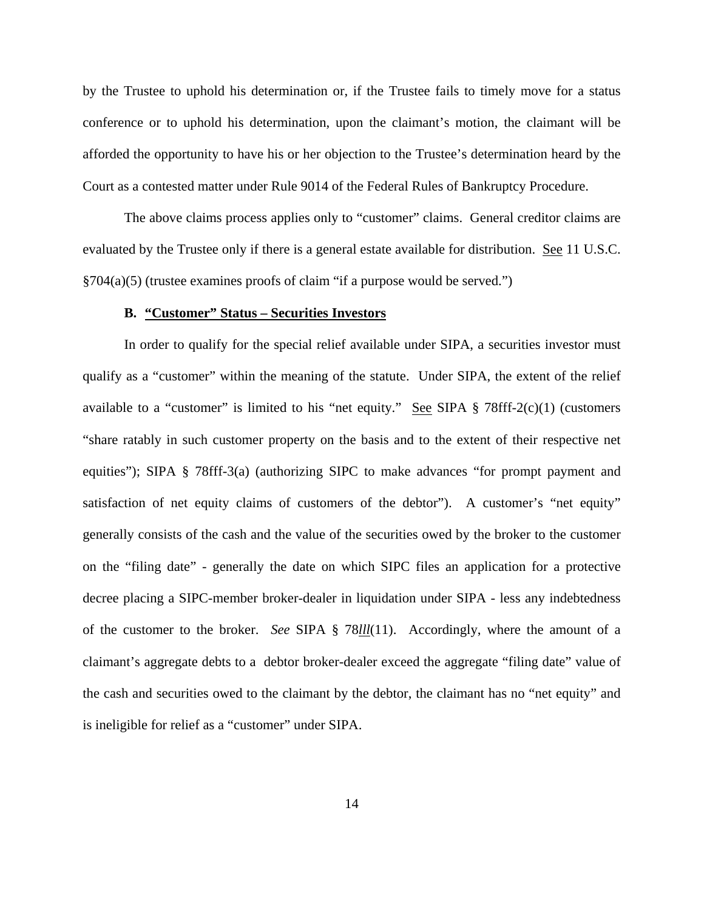by the Trustee to uphold his determination or, if the Trustee fails to timely move for a status conference or to uphold his determination, upon the claimant's motion, the claimant will be afforded the opportunity to have his or her objection to the Trustee's determination heard by the Court as a contested matter under Rule 9014 of the Federal Rules of Bankruptcy Procedure.

The above claims process applies only to "customer" claims. General creditor claims are evaluated by the Trustee only if there is a general estate available for distribution. See 11 U.S.C. §704(a)(5) (trustee examines proofs of claim "if a purpose would be served.")

#### **B. "Customer" Status – Securities Investors**

In order to qualify for the special relief available under SIPA, a securities investor must qualify as a "customer" within the meaning of the statute. Under SIPA, the extent of the relief available to a "customer" is limited to his "net equity." See SIPA  $\S$  78fff-2(c)(1) (customers "share ratably in such customer property on the basis and to the extent of their respective net equities"); SIPA § 78fff-3(a) (authorizing SIPC to make advances "for prompt payment and satisfaction of net equity claims of customers of the debtor"). A customer's "net equity" generally consists of the cash and the value of the securities owed by the broker to the customer on the "filing date" - generally the date on which SIPC files an application for a protective decree placing a SIPC-member broker-dealer in liquidation under SIPA - less any indebtedness of the customer to the broker. *See* SIPA § 78*lll*(11). Accordingly, where the amount of a claimant's aggregate debts to a debtor broker-dealer exceed the aggregate "filing date" value of the cash and securities owed to the claimant by the debtor, the claimant has no "net equity" and is ineligible for relief as a "customer" under SIPA.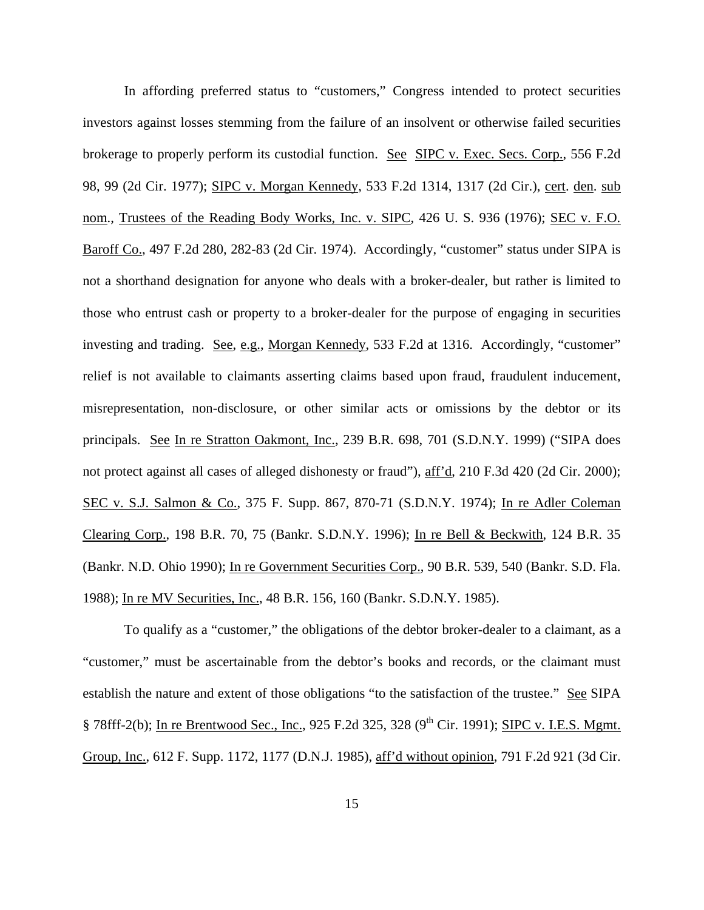In affording preferred status to "customers," Congress intended to protect securities investors against losses stemming from the failure of an insolvent or otherwise failed securities brokerage to properly perform its custodial function. See SIPC v. Exec. Secs. Corp., 556 F.2d 98, 99 (2d Cir. 1977); SIPC v. Morgan Kennedy, 533 F.2d 1314, 1317 (2d Cir.), cert. den. sub nom., Trustees of the Reading Body Works, Inc. v. SIPC, 426 U. S. 936 (1976); SEC v. F.O. Baroff Co., 497 F.2d 280, 282-83 (2d Cir. 1974). Accordingly, "customer" status under SIPA is not a shorthand designation for anyone who deals with a broker-dealer, but rather is limited to those who entrust cash or property to a broker-dealer for the purpose of engaging in securities investing and trading. See, e.g., Morgan Kennedy, 533 F.2d at 1316. Accordingly, "customer" relief is not available to claimants asserting claims based upon fraud, fraudulent inducement, misrepresentation, non-disclosure, or other similar acts or omissions by the debtor or its principals. See In re Stratton Oakmont, Inc., 239 B.R. 698, 701 (S.D.N.Y. 1999) ("SIPA does not protect against all cases of alleged dishonesty or fraud"), aff'd, 210 F.3d 420 (2d Cir. 2000); SEC v. S.J. Salmon & Co., 375 F. Supp. 867, 870-71 (S.D.N.Y. 1974); In re Adler Coleman Clearing Corp., 198 B.R. 70, 75 (Bankr. S.D.N.Y. 1996); In re Bell & Beckwith, 124 B.R. 35 (Bankr. N.D. Ohio 1990); In re Government Securities Corp., 90 B.R. 539, 540 (Bankr. S.D. Fla. 1988); In re MV Securities, Inc., 48 B.R. 156, 160 (Bankr. S.D.N.Y. 1985).

To qualify as a "customer," the obligations of the debtor broker-dealer to a claimant, as a "customer," must be ascertainable from the debtor's books and records, or the claimant must establish the nature and extent of those obligations "to the satisfaction of the trustee." See SIPA § 78fff-2(b); In re Brentwood Sec., Inc., 925 F.2d 325, 328 (9<sup>th</sup> Cir. 1991); SIPC v. I.E.S. Mgmt. Group, Inc., 612 F. Supp. 1172, 1177 (D.N.J. 1985), aff'd without opinion, 791 F.2d 921 (3d Cir.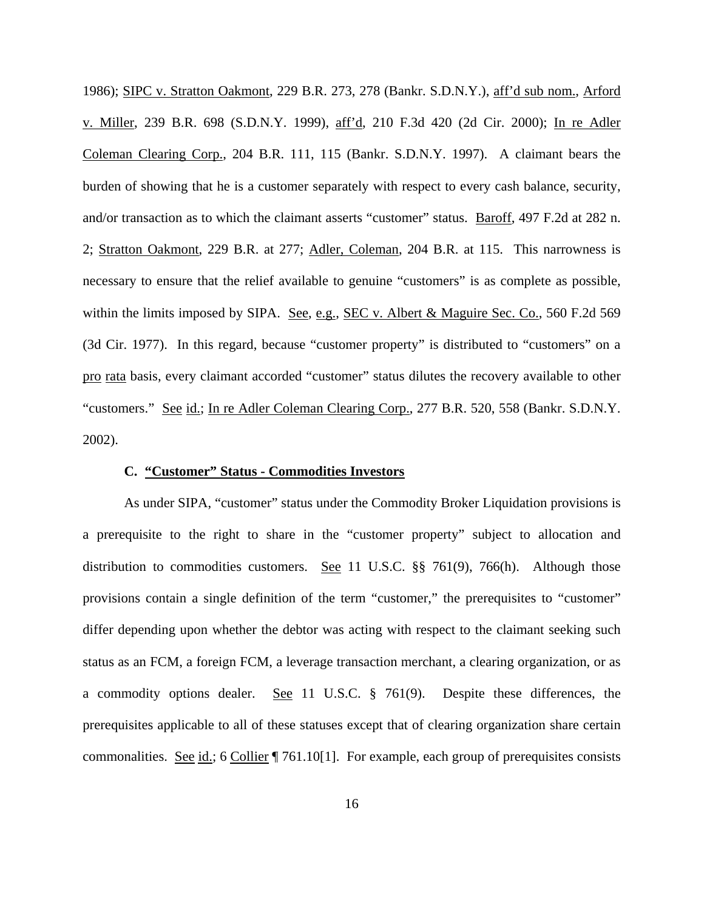1986); SIPC v. Stratton Oakmont, 229 B.R. 273, 278 (Bankr. S.D.N.Y.), aff'd sub nom., Arford v. Miller, 239 B.R. 698 (S.D.N.Y. 1999), aff'd, 210 F.3d 420 (2d Cir. 2000); In re Adler Coleman Clearing Corp., 204 B.R. 111, 115 (Bankr. S.D.N.Y. 1997). A claimant bears the burden of showing that he is a customer separately with respect to every cash balance, security, and/or transaction as to which the claimant asserts "customer" status. Baroff, 497 F.2d at 282 n. 2; Stratton Oakmont, 229 B.R. at 277; Adler, Coleman, 204 B.R. at 115. This narrowness is necessary to ensure that the relief available to genuine "customers" is as complete as possible, within the limits imposed by SIPA. See, e.g., SEC v. Albert & Maguire Sec. Co., 560 F.2d 569 (3d Cir. 1977). In this regard, because "customer property" is distributed to "customers" on a pro rata basis, every claimant accorded "customer" status dilutes the recovery available to other "customers." See id.; In re Adler Coleman Clearing Corp., 277 B.R. 520, 558 (Bankr. S.D.N.Y. 2002).

#### **C. "Customer" Status - Commodities Investors**

As under SIPA, "customer" status under the Commodity Broker Liquidation provisions is a prerequisite to the right to share in the "customer property" subject to allocation and distribution to commodities customers. See 11 U.S.C. §§ 761(9), 766(h). Although those provisions contain a single definition of the term "customer," the prerequisites to "customer" differ depending upon whether the debtor was acting with respect to the claimant seeking such status as an FCM, a foreign FCM, a leverage transaction merchant, a clearing organization, or as a commodity options dealer. See 11 U.S.C. § 761(9). Despite these differences, the prerequisites applicable to all of these statuses except that of clearing organization share certain commonalities. See id.; 6 Collier | 761.10[1]. For example, each group of prerequisites consists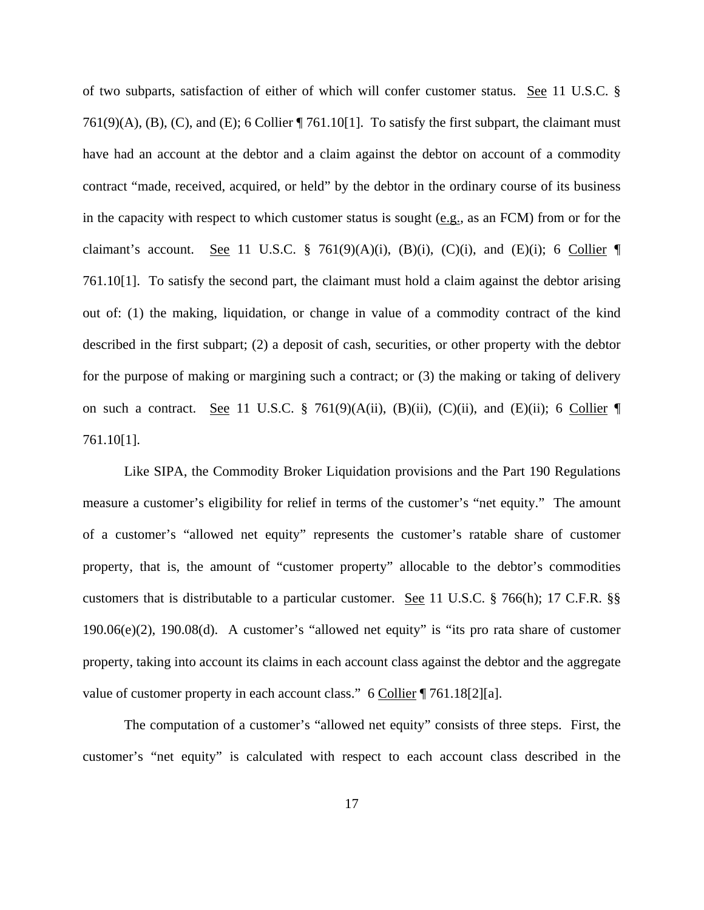of two subparts, satisfaction of either of which will confer customer status. See 11 U.S.C. § 761(9)(A), (B), (C), and (E); 6 Collier  $\P$  761.10[1]. To satisfy the first subpart, the claimant must have had an account at the debtor and a claim against the debtor on account of a commodity contract "made, received, acquired, or held" by the debtor in the ordinary course of its business in the capacity with respect to which customer status is sought (e.g., as an FCM) from or for the claimant's account. See 11 U.S.C. § 761(9)(A)(i), (B)(i), (C)(i), and (E)(i); 6 Collier 761.10[1]. To satisfy the second part, the claimant must hold a claim against the debtor arising out of: (1) the making, liquidation, or change in value of a commodity contract of the kind described in the first subpart; (2) a deposit of cash, securities, or other property with the debtor for the purpose of making or margining such a contract; or (3) the making or taking of delivery on such a contract. See 11 U.S.C. § 761(9)(A(ii), (B)(ii), (C)(ii), and (E)(ii); 6 Collier 761.10[1].

Like SIPA, the Commodity Broker Liquidation provisions and the Part 190 Regulations measure a customer's eligibility for relief in terms of the customer's "net equity." The amount of a customer's "allowed net equity" represents the customer's ratable share of customer property, that is, the amount of "customer property" allocable to the debtor's commodities customers that is distributable to a particular customer. See 11 U.S.C. § 766(h); 17 C.F.R. §§ 190.06(e)(2), 190.08(d). A customer's "allowed net equity" is "its pro rata share of customer property, taking into account its claims in each account class against the debtor and the aggregate value of customer property in each account class." 6 Collier ¶ 761.18[2][a].

The computation of a customer's "allowed net equity" consists of three steps. First, the customer's "net equity" is calculated with respect to each account class described in the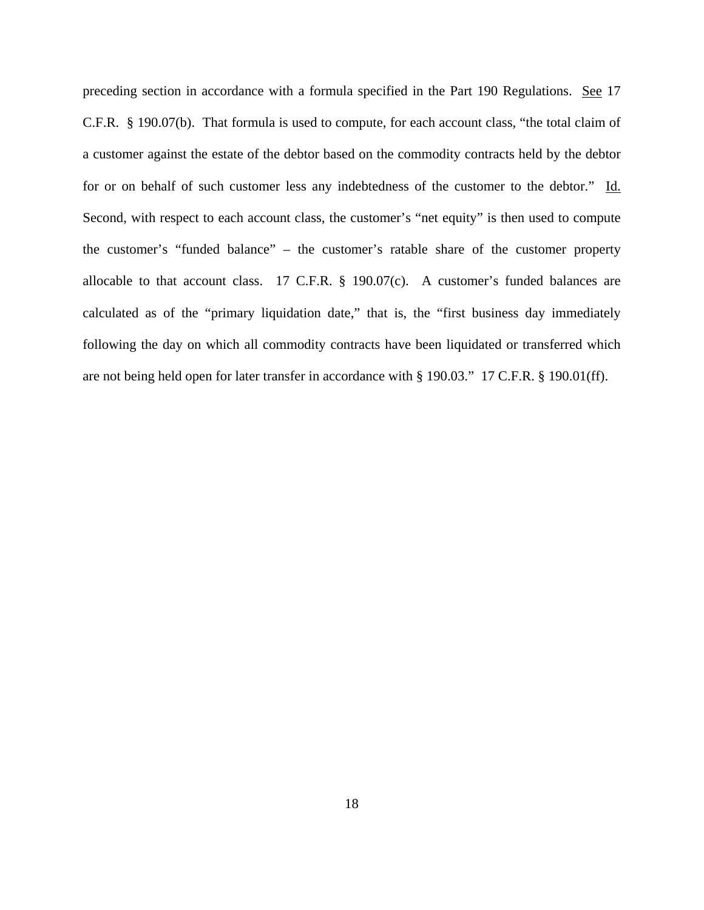preceding section in accordance with a formula specified in the Part 190 Regulations. See 17 C.F.R. § 190.07(b). That formula is used to compute, for each account class, "the total claim of a customer against the estate of the debtor based on the commodity contracts held by the debtor for or on behalf of such customer less any indebtedness of the customer to the debtor." Id. Second, with respect to each account class, the customer's "net equity" is then used to compute the customer's "funded balance" – the customer's ratable share of the customer property allocable to that account class. 17 C.F.R. § 190.07(c). A customer's funded balances are calculated as of the "primary liquidation date," that is, the "first business day immediately following the day on which all commodity contracts have been liquidated or transferred which are not being held open for later transfer in accordance with § 190.03." 17 C.F.R. § 190.01(ff).